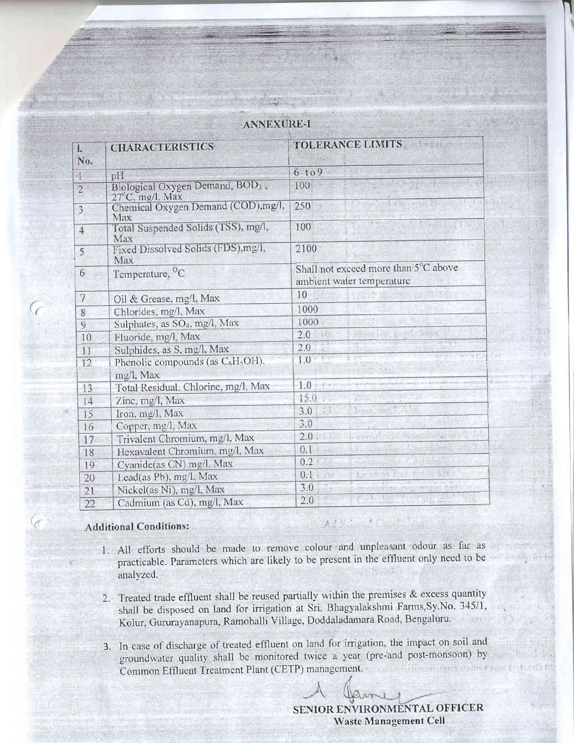## **ANNEXURE-I**

| I.<br>No.        | <b>CHARACTERISTICS</b>                                                 | <b>TOLERANCE LIMITS</b>                                           |
|------------------|------------------------------------------------------------------------|-------------------------------------------------------------------|
|                  | pH                                                                     | 6109                                                              |
| $\overline{2}$   | Biological Oxygen Demand, BOD <sub>3</sub> ,<br>27°C, mg/l, Max        | 100                                                               |
| $\sqrt{3}$       | Chemical Oxygen Demand (COD),mg/l,<br>Max                              | 250                                                               |
| $\overline{4}$   | Total Suspended Solids (TSS), mg/l,<br>Max                             | 100                                                               |
| 5                | Fixed Dissolved Solids (FDS), mg/l,<br>Max                             | 2100                                                              |
| 6                | Temperature, <sup>O</sup> C                                            | Shall not exceed more than 5°C above<br>ambient water temperature |
| $7\phantom{.0}$  | Oil & Grease, mg/l, Max                                                | 10                                                                |
| 8                | Chlorides, mg/l, Max                                                   | 1000                                                              |
| $\boldsymbol{9}$ | Sulphates, as SO <sub>4</sub> , mg/l, Max                              | 1000                                                              |
| 10               | Fluoride, mg/l, Max                                                    | 2.0<br><b>MASSACHT THE LOCAL</b>                                  |
| 11               | Sulphides, as S. mg/l, Max                                             | 2.0                                                               |
| 12               | Phenolic compounds (as C <sub>6</sub> H <sub>5</sub> OH).<br>mg/l, Max | 1.0                                                               |
| 13               | Total Residual. Chlorine, mg/l, Max                                    | 1.0                                                               |
| 14               | Zinc, mg/l, Max                                                        | 15.0<br>L.<br>$\mu$ These                                         |
| 15               | Iron, mg/l, Max                                                        | 3.0<br>1-50 ma<br>n                                               |
| 16               | Copper, mg/l, Max                                                      | 3:0                                                               |
| 17               | Trivalent Chromium, mg/l, Max                                          | 2.0<br>I yn Italy<br><b>PARAMENT DE</b>                           |
| 18               | Hexavalent Chromium, mg/l, Max                                         | 0.1                                                               |
| 19               | Cyanide(as CN) mg/l, Max                                               | 0.2                                                               |
| 20               | Lead(as Pb), mg/l, Max                                                 | 0.1<br>Dia.                                                       |
| 21               | Nickel(as Ni), mg/l, Max                                               | 3.0                                                               |
| 22               | Cadmium (as Cd), mg/l, Max                                             | 2.0                                                               |

## **Additional Conditions:**

- 1. All efforts should be made to remove colour and unpleasant odour as far as practicable. Parameters which are likely to be present in the effluent only need to be analyzed.
- 2. Treated trade effluent shall be reused partially within the premises & excess quantity shall be disposed on land for irrigation at Sri. Bhagyalakshmi Farms, Sy.No. 345/1, Kolur, Gururayanapura, Ramohalli Village, Doddaladamara Road, Bengaluru.
- 3. In case of discharge of treated effluent on land for irrigation, the impact on soil and groundwater quality shall be monitored twice a year (pre-and post-monsoon) by Common Effluent Treatment Plant (CETP) management.

SENIOR ENVIRONMENTAL OFFICER **Waste Management Cell** 

 $\lambda$  ) where  $\lambda$  and  $\lambda$